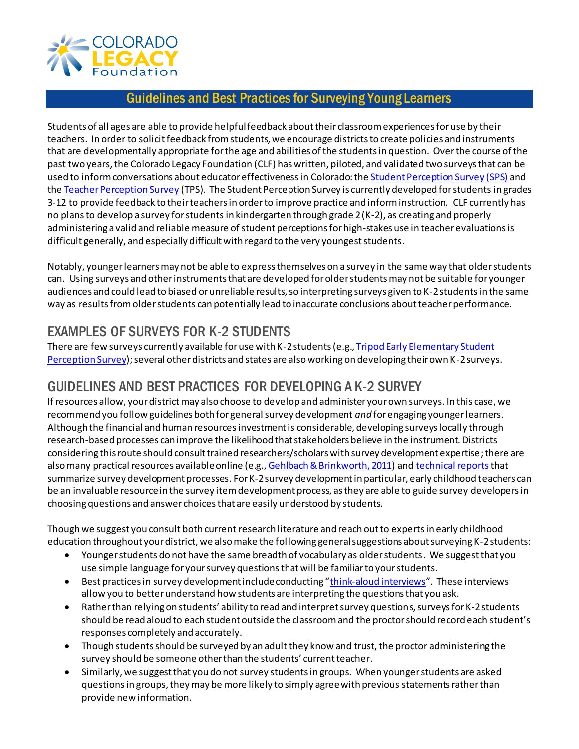

## Guidelines and Best Practices for Surveying Young Learners

Students of all ages are able to provide helpful feedback about their classroom experiences for use by their teachers. In order to solicit feedback from students, we encourage districts to create policies and instruments that are developmentally appropriate for the age and abilities of the students in question. Over the course of the past two years, the Colorado Legacy Foundation (CLF) has written, piloted, and validated two surveys that can be used to inform conversations about educator effectiveness in Colorado: th[e Student Perception Survey \(SPS\)](http://colegacy.org/studentsurvey/) and the [Teacher Perception Survey](http://colegacy.org/teachersurvey/) (TPS). The Student Perception Survey is currently developed for students in grades 3-12 to provide feedback to their teachers in order to improve practice and inform instruction. CLF currently has no plans to develop a survey for students in kindergarten through grade 2 (K-2), as creating and properly administering a valid and reliable measure of student perceptions for high-stakes use in teacher evaluations is difficult generally, and especially difficult with regard to the very youngest students.

Notably, younger learners may not be able to express themselves on a survey in the same way that older students can. Using surveys and other instruments that are developed for older students may not be suitable for younger audiences and could lead to biased or unreliable results, so interpreting surveys given to K-2 students in the same way as results from older students can potentially lead to inaccurate conclusions about teacher performance.

## EXAMPLES OF SURVEYS FOR K-2 STUDENTS

There are few surveys currently available for use with K-2 students (e.g.[, Tripod Early Elementary Student](http://tripoded.com/)  [Perception Survey\)](http://tripoded.com/); several other districts and states are also working on developing their own K-2 surveys.

## GUIDELINES AND BEST PRACTICES FOR DEVELOPING A K-2 SURVEY

If resources allow, your district may also choose to develop and administer your own surveys. In this case, we recommend you follow guidelines both for general survey development *and* for engaging younger learners. Although the financial and human resources investment is considerable, developing surveys locally through research-based processes can improve the likelihood that stakeholders believe in the instrument. Districts considering this route should consult trained researchers/scholars with survey development expertise; there are also many practical resources available online (e.g.[, Gehlbach & Brinkworth, 2011\)](http://www.apa.org/pubs/journals/features/gpr-15-4-380.pdf) an[d technical reports](http://colegacy.org/news/wp-content/uploads/2013/09/SPS-Technical-Report-FINAL_final.pdf) that summarize survey development processes. For K-2 survey development in particular, early childhood teachers can be an invaluable resource in the survey item development process, as they are able to guide survey developers in choosing questions and answer choices that are easily understood by students.

Though we suggest you consult both current research literature and reach out to experts in early childhood education throughout your district, we also make the following general suggestions about surveying K-2 students:

- Younger students do not have the same breadth of vocabulary as older students. We suggest that you use simple language for your survey questionsthat will be familiar to your students.
- Best practices in survey development include conducting "[think-aloud interviews](http://colegacy.org/news/wp-content/uploads/2013/08/SPS_Planning_comms_students-feedback-on-instruction-FINAL.pdf)". These interviews allow you to better understand how students are interpreting the questions that you ask.
- Rather than relying on students' ability to read and interpret survey questions, surveys for K-2 students should be read aloud to each student outside the classroom and the proctor should record each student's responses completely and accurately.
- Though students should be surveyed by an adult they know and trust, the proctor administering the survey should be someone other than the students' current teacher.
- Similarly, we suggest that you do not survey students in groups. When younger students are asked questions in groups, they may be more likely to simply agree with previous statements rather than provide new information.